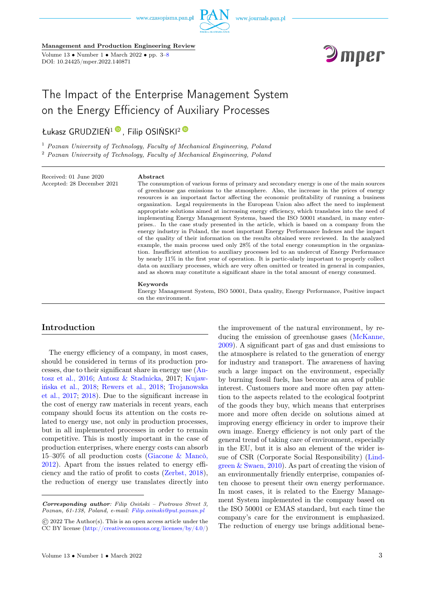

Management and Production Engineering Review Volume  $13 \bullet$  Number  $1 \bullet$  March  $2022 \bullet$  pp.  $3-8$ 

DOI: 10.24425/mper.2022.140871



# The Impact of the Enterprise Management System on the Energy Efficiency of Auxiliary Processes

# Łukasz GRUDZIEŃ<sup>1</sup>[,](https://orcid.org/0000-0001-8486-2879) Filip OSIŃSKI<sup>[2](https://orcid.org/0000-0003-0716-8546)</sup>

<sup>1</sup> Poznan University of Technology, Faculty of Mechanical Engineering, Poland <sup>2</sup> Poznan University of Technology, Faculty of Mechanical Engineering, Poland

Received: 01 June 2020 Accepted: 28 December 2021

#### Abstract

The consumption of various forms of primary and secondary energy is one of the main sources of greenhouse gas emissions to the atmosphere. Also, the increase in the prices of energy resources is an important factor affecting the economic profitability of running a business organization. Legal requirements in the European Union also affect the need to implement appropriate solutions aimed at increasing energy efficiency, which translates into the need of implementing Energy Management Systems, based the ISO 50001 standard, in many enterprises.. In the case study presented in the article, which is based on a company from the energy industry in Poland, the most important Energy Performance Indexes and the impact of the quality of their information on the results obtained were reviewed. In the analyzed example, the main process used only 28% of the total energy consumption in the organization. Insufficient attention to auxiliary processes led to an undercut of Energy Performance by nearly 11% in the first year of operation. It is partic-ularly important to properly collect data on auxiliary processes, which are very often omitted or treated in general in companies, and as shown may constitute a significant share in the total amount of energy consumed.

#### Keywords

Energy Management System, ISO 50001, Data quality, Energy Performance, Positive impact on the environment.

### Introduction

The energy efficiency of a company, in most cases, should be considered in terms of its production processes, due to their significant share in energy use [\(An](#page-5-0)[tosz et al., 2016;](#page-5-0) [Antosz & Stadnicka,](#page-5-0) 2017; [Kujaw](#page-5-0)[ińska et al., 2018;](#page-5-0) [Rewers et al., 2018;](#page-5-0) [Trojanowska](#page-5-0) [et al., 2017;](#page-5-0) [2018\)](#page-5-0). Due to the significant increase in the cost of energy raw materials in recent years, each company should focus its attention on the costs related to energy use, not only in production processes, but in all implemented processes in order to remain competitive. This is mostly important in the case of production enterprises, where energy costs can absorb 15–30% of all production costs [\(Giacone & Mancò,](#page-5-0) [2012\)](#page-5-0). Apart from the issues related to energy efficiency and the ratio of profit to costs [\(Zerbst, 2018\)](#page-5-0), the reduction of energy use translates directly into

the improvement of the natural environment, by reducing the emission of greenhouse gases [\(McKanne,](#page-5-0) [2009\)](#page-5-0). A significant part of gas and dust emissions to the atmosphere is related to the generation of energy for industry and transport. The awareness of having such a large impact on the environment, especially by burning fossil fuels, has become an area of public interest. Customers more and more often pay attention to the aspects related to the ecological footprint of the goods they buy, which means that enterprises more and more often decide on solutions aimed at improving energy efficiency in order to improve their own image. Energy efficiency is not only part of the general trend of taking care of environment, especially in the EU, but it is also an element of the wider issue of CSR (Corporate Social Responsibility) [\(Lind](#page-5-0)[green & Swaen, 2010\)](#page-5-0). As part of creating the vision of an environmentally friendly enterprise, companies often choose to present their own energy performance. In most cases, it is related to the Energy Management System implemented in the company based on the ISO 50001 or EMAS standard, but each time the company's care for the environment is emphasized. The reduction of energy use brings additional bene-

Corresponding author: Filip Osiński – Piotrowo Street 3, Poznan, 61-138, Poland, e-mail: [Filip.osinski@put.poznan.pl](mailto:Filip.osinski@put.poznan.pl)

<sup>©</sup> 2022 The Author(s). This is an open access article under the CC BY license [\(http://creativecommons.org/licenses/by/4.0/\)](http://creativecommons.org/licenses/by/4.0/)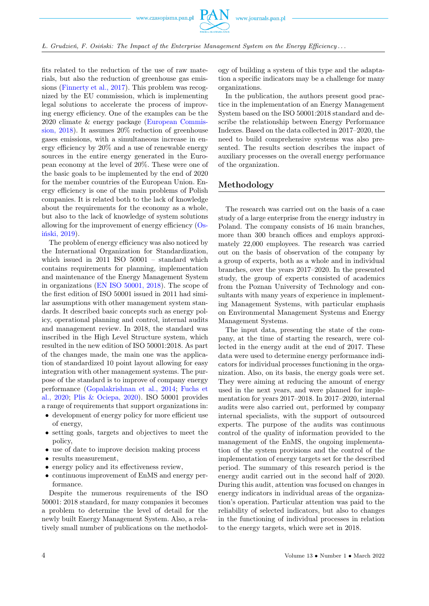

fits related to the reduction of the use of raw materials, but also the reduction of greenhouse gas emissions [\(Finnerty et al., 2017\)](#page-5-0). This problem was recognized by the EU commission, which is implementing legal solutions to accelerate the process of improving energy efficiency. One of the examples can be the 2020 climate & energy package [\(European Commis](#page-5-0)[sion, 2018\)](#page-5-0). It assumes 20% reduction of greenhouse gases emissions, with a simultaneous increase in energy efficiency by 20% and a use of renewable energy sources in the entire energy generated in the European economy at the level of 20%. These were one of the basic goals to be implemented by the end of 2020 for the member countries of the European Union. Energy efficiency is one of the main problems of Polish companies. It is related both to the lack of knowledge about the requirements for the economy as a whole, but also to the lack of knowledge of system solutions allowing for the improvement of energy efficiency [\(Os](#page-5-0)[iński, 2019\)](#page-5-0).

The problem of energy efficiency was also noticed by the International Organization for Standardization, which issued in 2011 ISO 50001 – standard which contains requirements for planning, implementation and maintenance of the Energy Management System in organizations [\(EN ISO 50001, 2018\)](#page-5-0). The scope of the first edition of ISO 50001 issued in 2011 had similar assumptions with other management system standards. It described basic concepts such as energy policy, operational planning and control, internal audits and management review. In 2018, the standard was inscribed in the High Level Structure system, which resulted in the new edition of ISO 50001:2018. As part of the changes made, the main one was the application of standardized 10 point layout allowing for easy integration with other management systems. The purpose of the standard is to improve of company energy performance [\(Gopalakrishnan et al., 2014;](#page-5-0) [Fuchs et](#page-5-0) [al., 2020;](#page-5-0) [Plis & Ociepa, 2020\)](#page-5-0). ISO 50001 provides a range of requirements that support organizations in:

- development of energy policy for more efficient use of energy,
- setting goals, targets and objectives to meet the policy,
- use of date to improve decision making process
- results measurement,
- energy policy and its effectiveness review,
- continuous improvement of EnMS and energy performance.

Despite the numerous requirements of the ISO 50001: 2018 standard, for many companies it becomes a problem to determine the level of detail for the newly built Energy Management System. Also, a relatively small number of publications on the methodology of building a system of this type and the adaptation a specific indicators may be a challenge for many organizations.

In the publication, the authors present good practice in the implementation of an Energy Management System based on the ISO 50001:2018 standard and describe the relationship between Energy Performance Indexes. Based on the data collected in 2017–2020, the need to build comprehensive systems was also presented. The results section describes the impact of auxiliary processes on the overall energy performance of the organization.

### Methodology

The research was carried out on the basis of a case study of a large enterprise from the energy industry in Poland. The company consists of 16 main branches, more than 300 branch offices and employs approximately 22,000 employees. The research was carried out on the basis of observation of the company by a group of experts, both as a whole and in individual branches, over the years 2017–2020. In the presented study, the group of experts consisted of academics from the Poznan University of Technology and consultants with many years of experience in implementing Management Systems, with particular emphasis on Environmental Management Systems and Energy Management Systems.

The input data, presenting the state of the company, at the time of starting the research, were collected in the energy audit at the end of 2017. These data were used to determine energy performance indicators for individual processes functioning in the organization. Also, on its basis, the energy goals were set. They were aiming at reducing the amount of energy used in the next years, and were planned for implementation for years 2017–2018. In 2017–2020, internal audits were also carried out, performed by company internal specialists, with the support of outsourced experts. The purpose of the audits was continuous control of the quality of information provided to the management of the EnMS, the ongoing implementation of the system provisions and the control of the implementation of energy targets set for the described period. The summary of this research period is the energy audit carried out in the second half of 2020. During this audit, attention was focused on changes in energy indicators in individual areas of the organization's operation. Particular attention was paid to the reliability of selected indicators, but also to changes in the functioning of individual processes in relation to the energy targets, which were set in 2018.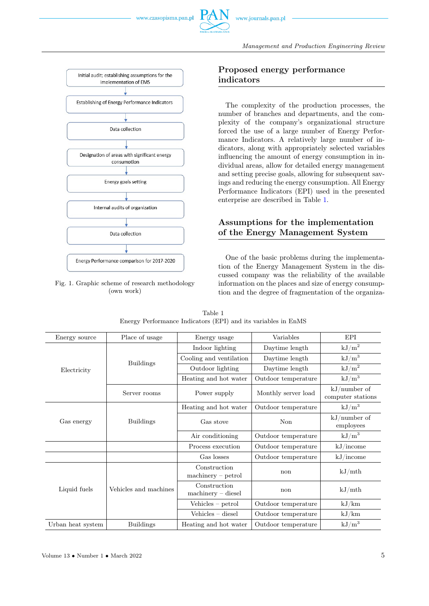

Management and Production Engineering Review





# Proposed energy performance indicators

The complexity of the production processes, the number of branches and departments, and the complexity of the company's organizational structure forced the use of a large number of Energy Performance Indicators. A relatively large number of indicators, along with appropriately selected variables influencing the amount of energy consumption in individual areas, allow for detailed energy management and setting precise goals, allowing for subsequent savings and reducing the energy consumption. All Energy Performance Indicators (EPI) used in the presented enterprise are described in Table [1.](#page-2-0)

# Assumptions for the implementation of the Energy Management System

One of the basic problems during the implementation of the Energy Management System in the discussed company was the reliability of the available information on the places and size of energy consumption and the degree of fragmentation of the organiza-

<span id="page-2-0"></span>

| Energy source     | Place of usage        | Energy usage                                       | Variables           | EPI                                 |  |
|-------------------|-----------------------|----------------------------------------------------|---------------------|-------------------------------------|--|
| Electricity       | <b>Buildings</b>      | Indoor lighting                                    | Daytime length      | $kJ/m^2$                            |  |
|                   |                       | Cooling and ventilation                            | Daytime length      | $kJ/m^3$                            |  |
|                   |                       | Outdoor lighting                                   | Daytime length      | $\mathrm{kJ/m^2}$                   |  |
|                   |                       | Heating and hot water                              | Outdoor temperature | $kJ/m^3$                            |  |
|                   | Server rooms          | Power supply                                       | Monthly server load | $kJ/number$ of<br>computer stations |  |
| Gas energy        | <b>Buildings</b>      | Heating and hot water                              | Outdoor temperature | $kJ/m^3$                            |  |
|                   |                       | Gas stove                                          | Non                 | $kJ/number$ of<br>employees         |  |
|                   |                       | Air conditioning                                   | Outdoor temperature | $kJ/m^3$                            |  |
|                   |                       | Process execution                                  | Outdoor temperature | kJ/income                           |  |
|                   |                       | Gas losses                                         | Outdoor temperature | kJ/income                           |  |
| Liquid fuels      | Vehicles and machines | Construction<br>$\text{machinery} - \text{petrol}$ | non                 | kJ/mth                              |  |
|                   |                       | Construction<br>$\text{machinery} - \text{diesel}$ | non                 | kJ/mL                               |  |
|                   |                       | Vehicles - petrol                                  | Outdoor temperature | kJ/km                               |  |
|                   |                       | $V\acute{e}$ hicles – diesel                       | Outdoor temperature | kJ/km                               |  |
| Urban heat system | <b>Buildings</b>      | Heating and hot water                              | Outdoor temperature | $kJ/m^3$                            |  |

| Table 1 |                                                               |  |  |  |  |  |  |  |  |
|---------|---------------------------------------------------------------|--|--|--|--|--|--|--|--|
|         | Energy Performance Indicators (EPI) and its variables in EnMS |  |  |  |  |  |  |  |  |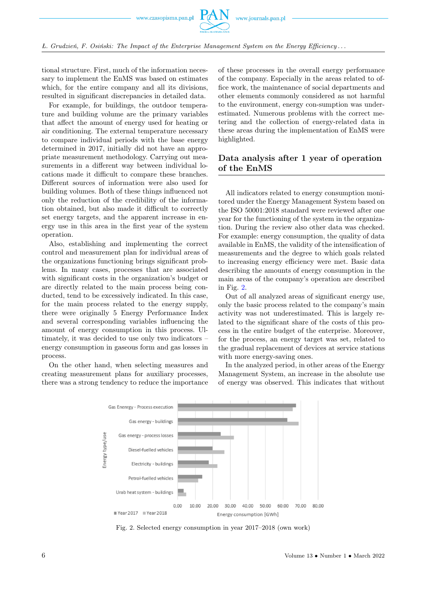

 $L.$  Grudzień, F. Osiński: The Impact of the Enterprise Management System on the Energy Efficiency...

tional structure. First, much of the information necessary to implement the EnMS was based on estimates which, for the entire company and all its divisions, resulted in significant discrepancies in detailed data.

For example, for buildings, the outdoor temperature and building volume are the primary variables that affect the amount of energy used for heating or air conditioning. The external temperature necessary to compare individual periods with the base energy determined in 2017, initially did not have an appropriate measurement methodology. Carrying out measurements in a different way between individual locations made it difficult to compare these branches. Different sources of information were also used for building volumes. Both of these things influenced not only the reduction of the credibility of the information obtained, but also made it difficult to correctly set energy targets, and the apparent increase in energy use in this area in the first year of the system operation.

Also, establishing and implementing the correct control and measurement plan for individual areas of the organizations functioning brings significant problems. In many cases, processes that are associated with significant costs in the organization's budget or are directly related to the main process being conducted, tend to be excessively indicated. In this case, for the main process related to the energy supply, there were originally 5 Energy Performance Index and several corresponding variables influencing the amount of energy consumption in this process. Ultimately, it was decided to use only two indicators – energy consumption in gaseous form and gas losses in process.

<span id="page-3-0"></span>On the other hand, when selecting measures and creating measurement plans for auxiliary processes, there was a strong tendency to reduce the importance of these processes in the overall energy performance of the company. Especially in the areas related to office work, the maintenance of social departments and other elements commonly considered as not harmful to the environment, energy con-sumption was underestimated. Numerous problems with the correct metering and the collection of energy-related data in these areas during the implementation of EnMS were highlighted.

# Data analysis after 1 year of operation of the EnMS

All indicators related to energy consumption monitored under the Energy Management System based on the ISO 50001:2018 standard were reviewed after one year for the functioning of the system in the organization. During the review also other data was checked. For example: energy consumption, the quality of data available in EnMS, the validity of the intensification of measurements and the degree to which goals related to increasing energy efficiency were met. Basic data describing the amounts of energy consumption in the main areas of the company's operation are described in Fig. [2.](#page-3-0)

Out of all analyzed areas of significant energy use, only the basic process related to the company's main activity was not underestimated. This is largely related to the significant share of the costs of this process in the entire budget of the enterprise. Moreover, for the process, an energy target was set, related to the gradual replacement of devices at service stations with more energy-saving ones.

In the analyzed period, in other areas of the Energy Management System, an increase in the absolute use of energy was observed. This indicates that without



Fig. 2. Selected energy consumption in year 2017–2018 (own work)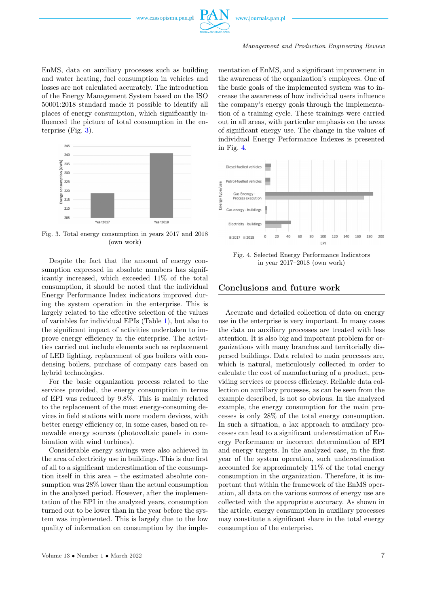EnMS, data on auxiliary processes such as building and water heating, fuel consumption in vehicles and losses are not calculated accurately. The introduction of the Energy Management System based on the ISO 50001:2018 standard made it possible to identify all places of energy consumption, which significantly influenced the picture of total consumption in the enterprise (Fig. [3\)](#page-4-0).

<span id="page-4-0"></span>

Fig. 3. Total energy consumption in years 2017 and 2018 (own work)

Despite the fact that the amount of energy consumption expressed in absolute numbers has significantly increased, which exceeded 11% of the total consumption, it should be noted that the individual Energy Performance Index indicators improved during the system operation in the enterprise. This is largely related to the effective selection of the values of variables for individual EPIs (Table [1\)](#page-2-0), but also to the significant impact of activities undertaken to improve energy efficiency in the enterprise. The activities carried out include elements such as replacement of LED lighting, replacement of gas boilers with condensing boilers, purchase of company cars based on hybrid technologies.

For the basic organization process related to the services provided, the energy consumption in terms of EPI was reduced by 9.8%. This is mainly related to the replacement of the most energy-consuming devices in field stations with more modern devices, with better energy efficiency or, in some cases, based on renewable energy sources (photovoltaic panels in combination with wind turbines).

Considerable energy savings were also achieved in the area of electricity use in buildings. This is due first of all to a significant underestimation of the consumption itself in this area – the estimated absolute consumption was 28% lower than the actual consumption in the analyzed period. However, after the implementation of the EPI in the analyzed years, consumption turned out to be lower than in the year before the system was implemented. This is largely due to the low quality of information on consumption by the implementation of EnMS, and a significant improvement in the awareness of the organization's employees. One of the basic goals of the implemented system was to increase the awareness of how individual users influence the company's energy goals through the implementation of a training cycle. These trainings were carried out in all areas, with particular emphasis on the areas of significant energy use. The change in the values of individual Energy Performance Indexes is presented in Fig. [4.](#page-4-1)

<span id="page-4-1"></span>

Fig. 4. Selected Energy Performance Indicators in year 2017–2018 (own work)

### Conclusions and future work

Accurate and detailed collection of data on energy use in the enterprise is very important. In many cases the data on auxiliary processes are treated with less attention. It is also big and important problem for organizations with many branches and territorially dispersed buildings. Data related to main processes are, which is natural, meticulously collected in order to calculate the cost of manufacturing of a product, providing services or process efficiency. Reliable data collection on auxillary processes, as can be seen from the example described, is not so obvious. In the analyzed example, the energy consumption for the main processes is only 28% of the total energy consumption. In such a situation, a lax approach to auxiliary processes can lead to a significant underestimation of Energy Performance or incorrect determination of EPI and energy targets. In the analyzed case, in the first year of the system operation, such underestimation accounted for approximately 11% of the total energy consumption in the organization. Therefore, it is important that within the framework of the EnMS operation, all data on the various sources of energy use are collected with the appropriate accuracy. As shown in the article, energy consumption in auxiliary processes may constitute a significant share in the total energy consumption of the enterprise.